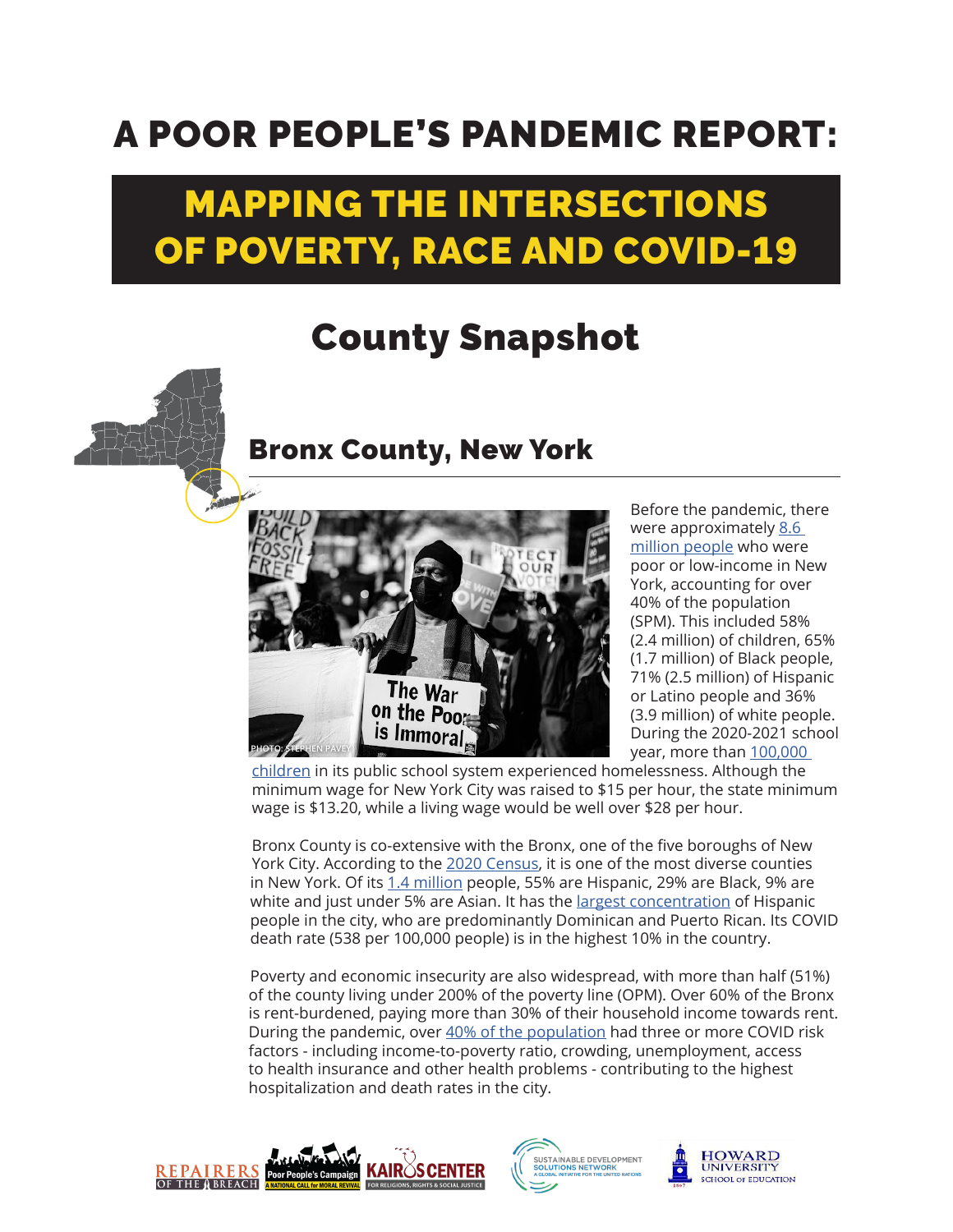## A POOR PEOPLE'S PANDEMIC REPORT:

## MAPPING THE INTERSECTIONS OF POVERTY, RACE AND COVID-19

## County Snapshot



## Bronx County, New York



Before the pandemic, there were approximately 8.6 [million people](https://www.poorpeoplescampaign.org/wp-content/uploads/2020/03/PPC-state-fact-sheet-New-York.pdf) who were poor or low-income in New York, accounting for over 40% of the population (SPM). This included 58% (2.4 million) of children, 65% (1.7 million) of Black people, 71% (2.5 million) of Hispanic or Latino people and 36% (3.9 million) of white people. During the 2020-2021 school year, more than 100,000

[children](https://advocatesforchildren.org/node/1875) in its public school system experienced homelessness. Although the minimum wage for New York City was raised to \$15 per hour, the state minimum wage is \$13.20, while a living wage would be well over \$28 per hour.

Bronx County is co-extensive with the Bronx, one of the five boroughs of New York City. According to the [2020 Census](https://www.census.gov/library/visualizations/interactive/racial-and-ethnic-diversity-in-the-united-states-2010-and-2020-census.html), it is one of the most diverse counties in New York. Of its [1.4 million](https://www1.nyc.gov/assets/planning/download/pdf/planning-level/nyc-population/census2020/dcp_2020-census-briefing-booklet-1.pdf) people, 55% are Hispanic, 29% are Black, 9% are white and just under 5% are Asian. It has the [largest concentration](https://www1.nyc.gov/assets/planning/download/pdf/planning-level/nyc-population/census2020/dcp_2020-census-briefing-booklet-1.pdf) of Hispanic people in the city, who are predominantly Dominican and Puerto Rican. Its COVID death rate (538 per 100,000 people) is in the highest 10% in the country.

Poverty and economic insecurity are also widespread, with more than half (51%) of the county living under 200% of the poverty line (OPM). Over 60% of the Bronx is rent-burdened, paying more than 30% of their household income towards rent. During the pandemic, over [40% of the population](https://www.osc.state.ny.us/reports/osdc/recent-trends-and-impact-covid-19-bronx) had three or more COVID risk factors - including income-to-poverty ratio, crowding, unemployment, access to health insurance and other health problems - contributing to the highest hospitalization and death rates in the city.